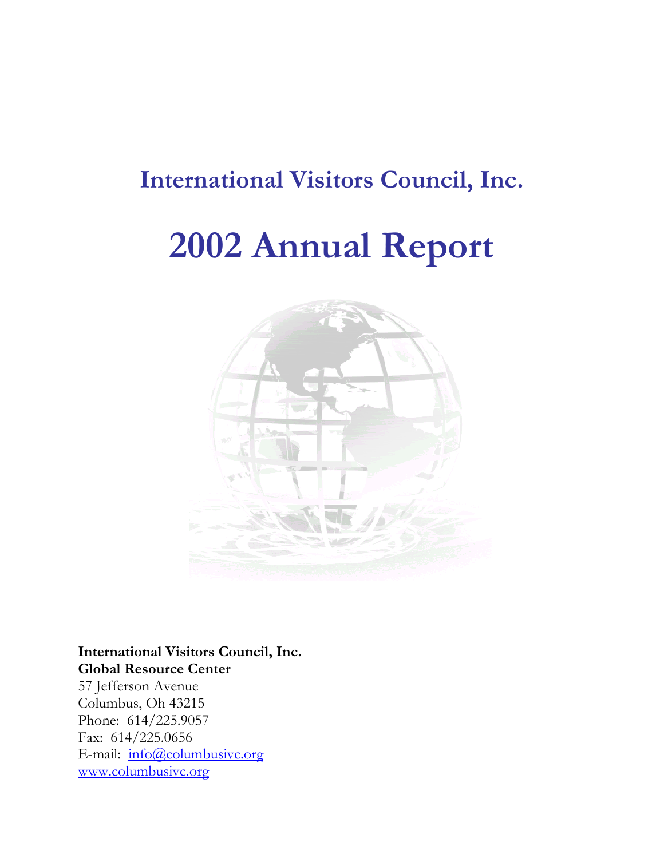## **International Visitors Council, Inc.**

# **2002 Annual Report**



**International Visitors Council, Inc. Global Resource Center** 

57 Jefferson Avenue Columbus, Oh 43215 Phone: 614/225.9057 Fax: 614/225.0656 E-mail: [info@columbusivc.org](mailto:info@columbusivc.org) [www.columbusivc.org](http://www.columbusivc.org/)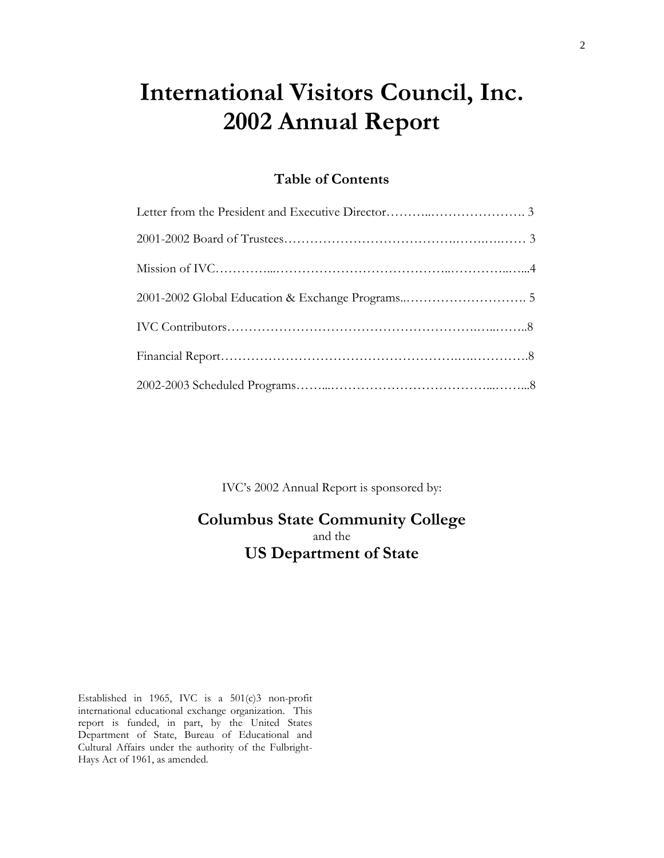## **International Visitors Council, Inc. 2002 Annual Report**

### **Table of Contents**

| 2001-2002 Global Education & Exchange Programs 5 |  |
|--------------------------------------------------|--|
|                                                  |  |
|                                                  |  |
|                                                  |  |

IVC's 2002 Annual Report is sponsored by:

## **Columbus State Community College**  and the **US Department of State**

Established in 1965, IVC is a 501(c)3 non-profit international educational exchange organization. This report is funded, in part, by the United States Department of State, Bureau of Educational and Cultural Affairs under the authority of the Fulbright-Hays Act of 1961, as amended.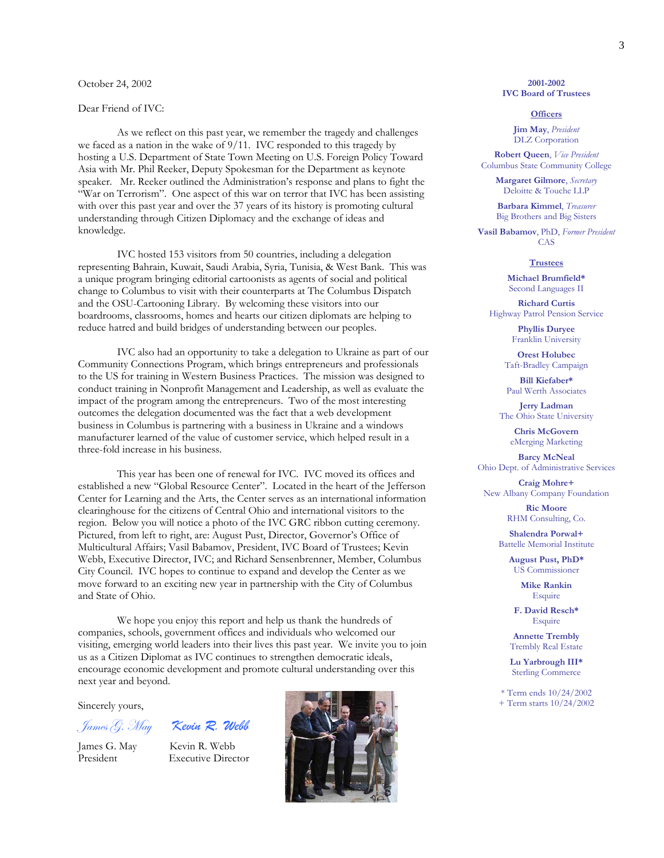#### October 24, 2002

#### Dear Friend of IVC:

As we reflect on this past year, we remember the tragedy and challenges we faced as a nation in the wake of 9/11. IVC responded to this tragedy by hosting a U.S. Department of State Town Meeting on U.S. Foreign Policy Toward Asia with Mr. Phil Reeker, Deputy Spokesman for the Department as keynote speaker. Mr. Reeker outlined the Administration's response and plans to fight the "War on Terrorism". One aspect of this war on terror that IVC has been assisting with over this past year and over the 37 years of its history is promoting cultural understanding through Citizen Diplomacy and the exchange of ideas and knowledge.

IVC hosted 153 visitors from 50 countries, including a delegation representing Bahrain, Kuwait, Saudi Arabia, Syria, Tunisia, & West Bank. This was a unique program bringing editorial cartoonists as agents of social and political change to Columbus to visit with their counterparts at The Columbus Dispatch and the OSU-Cartooning Library. By welcoming these visitors into our boardrooms, classrooms, homes and hearts our citizen diplomats are helping to reduce hatred and build bridges of understanding between our peoples.

IVC also had an opportunity to take a delegation to Ukraine as part of our Community Connections Program, which brings entrepreneurs and professionals to the US for training in Western Business Practices. The mission was designed to conduct training in Nonprofit Management and Leadership, as well as evaluate the impact of the program among the entrepreneurs. Two of the most interesting outcomes the delegation documented was the fact that a web development business in Columbus is partnering with a business in Ukraine and a windows manufacturer learned of the value of customer service, which helped result in a three-fold increase in his business.

This year has been one of renewal for IVC. IVC moved its offices and established a new "Global Resource Center". Located in the heart of the Jefferson Center for Learning and the Arts, the Center serves as an international information clearinghouse for the citizens of Central Ohio and international visitors to the region. Below you will notice a photo of the IVC GRC ribbon cutting ceremony. Pictured, from left to right, are: August Pust, Director, Governor's Office of Multicultural Affairs; Vasil Babamov, President, IVC Board of Trustees; Kevin Webb, Executive Director, IVC; and Richard Sensenbrenner, Member, Columbus City Council. IVC hopes to continue to expand and develop the Center as we move forward to an exciting new year in partnership with the City of Columbus and State of Ohio.

We hope you enjoy this report and help us thank the hundreds of companies, schools, government offices and individuals who welcomed our visiting, emerging world leaders into their lives this past year. We invite you to join us as a Citizen Diplomat as IVC continues to strengthen democratic ideals, encourage economic development and promote cultural understanding over this next year and beyond.

Sincerely yours,

James G. May **Kevin R. Webb** 

James G. May Kevin R. Webb President Executive Director



#### **2001-2002 IVC Board of Trustees**

#### **Officers**

**Jim May**, *President* DLZ Corporation

**Robert Queen**, *Vice President* Columbus State Community College

> **Margaret Gilmore**, *Secretary* Deloitte & Touche LLP

> **Barbara Kimmel**, *Treasurer* Big Brothers and Big Sisters

**Vasil Babamov**, PhD, *Former President* CAS

#### **Trustees**

**Michael Brumfield\***  Second Languages II

**Richard Curtis**  Highway Patrol Pension Service

> **Phyllis Duryee**  Franklin University

**Orest Holubec**  Taft-Bradley Campaign

**Bill Kiefaber\***  Paul Werth Associates

**Jerry Ladman**  The Ohio State University

> **Chris McGovern**  eMerging Marketing

**Barcy McNeal**  Ohio Dept. of Administrative Services

**Craig Mohre+**  New Albany Company Foundation

> **Ric Moore**  RHM Consulting, Co.

**Shalendra Porwal+**  Battelle Memorial Institute

**August Pust, PhD\***  US Commissioner

> **Mike Rankin**  Esquire

**F. David Resch\***  Esquire

**Annette Trembly**  Trembly Real Estate

**Lu Yarbrough III\*** Sterling Commerce

\* Term ends 10/24/2002

+ Term starts 10/24/2002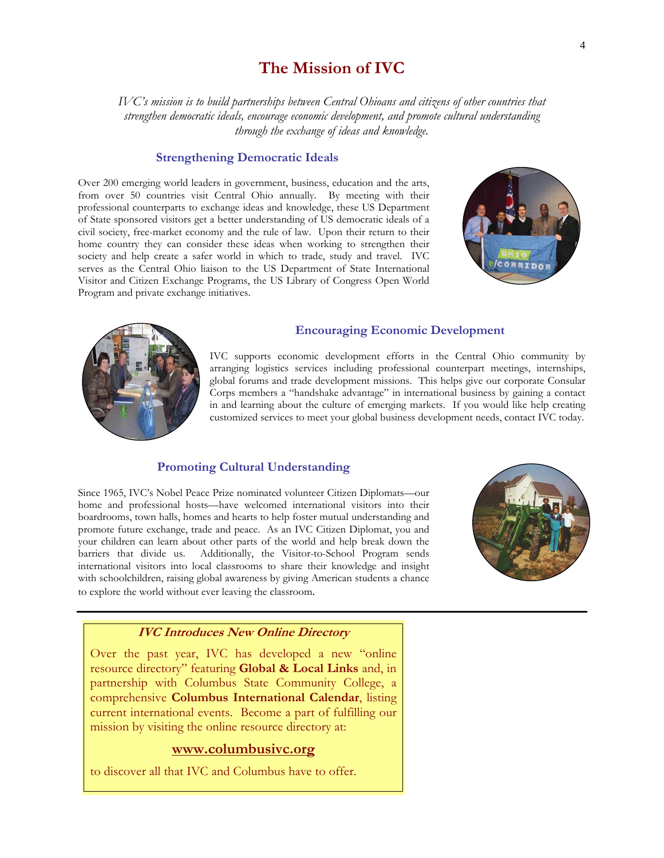## **The Mission of IVC**

*IVC's mission is to build partnerships between Central Ohioans and citizens of other countries that strengthen democratic ideals, encourage economic development, and promote cultural understanding through the exchange of ideas and knowledge.*

#### **Strengthening Democratic Ideals**

Over 200 emerging world leaders in government, business, education and the arts, from over 50 countries visit Central Ohio annually. By meeting with their professional counterparts to exchange ideas and knowledge, these US Department of State sponsored visitors get a better understanding of US democratic ideals of a civil society, free-market economy and the rule of law. Upon their return to their home country they can consider these ideas when working to strengthen their society and help create a safer world in which to trade, study and travel. IVC serves as the Central Ohio liaison to the US Department of State International Visitor and Citizen Exchange Programs, the US Library of Congress Open World Program and private exchange initiatives.





#### **Encouraging Economic Development**

IVC supports economic development efforts in the Central Ohio community by arranging logistics services including professional counterpart meetings, internships, global forums and trade development missions. This helps give our corporate Consular Corps members a "handshake advantage" in international business by gaining a contact in and learning about the culture of emerging markets. If you would like help creating customized services to meet your global business development needs, contact IVC today.

#### **Promoting Cultural Understanding**

Since 1965, IVC's Nobel Peace Prize nominated volunteer Citizen Diplomats—our home and professional hosts—have welcomed international visitors into their boardrooms, town halls, homes and hearts to help foster mutual understanding and promote future exchange, trade and peace. As an IVC Citizen Diplomat, you and your children can learn about other parts of the world and help break down the barriers that divide us. Additionally, the Visitor-to-School Program sends international visitors into local classrooms to share their knowledge and insight with schoolchildren, raising global awareness by giving American students a chance to explore the world without ever leaving the classroom.



#### **IVC Introduces New Online Directory**

Over the past year, IVC has developed a new "online resource directory" featuring **Global & Local Links** and, in partnership with Columbus State Community College, a comprehensive **Columbus International Calendar**, listing current international events. Become a part of fulfilling our mission by visiting the online resource directory at:

#### **[www.columbusivc.org](http://www.columbusivc.org/)**

to discover all that IVC and Columbus have to offer.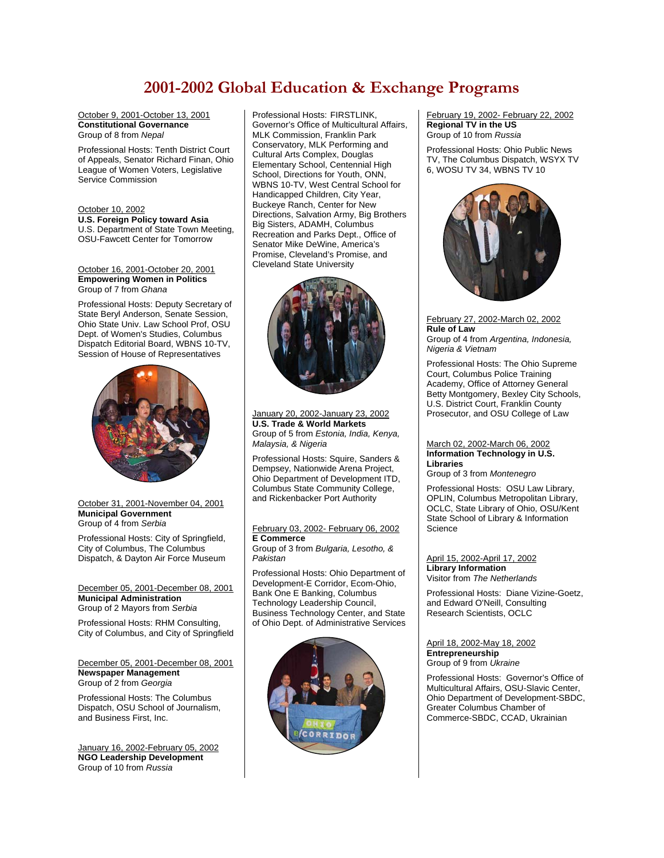## **2001-2002 Global Education & Exchange Programs**

October 9, 2001-October 13, 2001 **Constitutional Governance** Group of 8 from *Nepal*

Professional Hosts: Tenth District Court of Appeals, Senator Richard Finan, Ohio League of Women Voters, Legislative Service Commission

October 10, 2002 **U.S. Foreign Policy toward Asia** U.S. Department of State Town Meeting, OSU-Fawcett Center for Tomorrow

October 16, 2001-October 20, 2001 **Empowering Women in Politics** Group of 7 from *Ghana*

Professional Hosts: Deputy Secretary of State Beryl Anderson, Senate Session, Ohio State Univ. Law School Prof, OSU Dept. of Women's Studies, Columbus Dispatch Editorial Board, WBNS 10-TV, Session of House of Representatives



October 31, 2001-November 04, 2001 **Municipal Government** Group of 4 from *Serbia*

Professional Hosts: City of Springfield, City of Columbus, The Columbus Dispatch, & Dayton Air Force Museum

December 05, 2001-December 08, 2001 **Municipal Administration** Group of 2 Mayors from *Serbia*

Professional Hosts: RHM Consulting, City of Columbus, and City of Springfield

#### December 05, 2001-December 08, 2001 **Newspaper Management** Group of 2 from *Georgia*

 Professional Hosts: The Columbus Dispatch, OSU School of Journalism, and Business First, Inc.

January 16, 2002-February 05, 2002 **NGO Leadership Development**  Group of 10 from *Russia*

Professional Hosts: FIRSTLINK, Governor's Office of Multicultural Affairs, MLK Commission, Franklin Park Conservatory, MLK Performing and Cultural Arts Complex, Douglas Elementary School, Centennial High School, Directions for Youth, ONN, WBNS 10-TV, West Central School for Handicapped Children, City Year, Buckeye Ranch, Center for New Directions, Salvation Army, Big Brothers Big Sisters, ADAMH, Columbus Recreation and Parks Dept., Office of Senator Mike DeWine, America's Promise, Cleveland's Promise, and Cleveland State University



January 20, 2002-January 23, 2002 **U.S. Trade & World Markets** Group of 5 from *Estonia, India, Kenya, Malaysia, & Nigeria*

Professional Hosts: Squire, Sanders & Dempsey, Nationwide Arena Project, Ohio Department of Development ITD, Columbus State Community College, and Rickenbacker Port Authority

#### February 03, 2002- February 06, 2002 **E Commerce**

Group of 3 from *Bulgaria, Lesotho, & Pakistan*

Professional Hosts: Ohio Department of Development-E Corridor, Ecom-Ohio, Bank One E Banking, Columbus Technology Leadership Council, Business Technology Center, and State of Ohio Dept. of Administrative Services



February 19, 2002- February 22, 2002 **Regional TV in the US** Group of 10 from *Russia*

Professional Hosts: Ohio Public News TV, The Columbus Dispatch, WSYX TV 6, WOSU TV 34, WBNS TV 10



February 27, 2002-March 02, 2002 **Rule of Law** Group of 4 from *Argentina, Indonesia, Nigeria & Vietnam*

Professional Hosts: The Ohio Supreme Court, Columbus Police Training Academy, Office of Attorney General Betty Montgomery, Bexley City Schools, U.S. District Court, Franklin County Prosecutor, and OSU College of Law

#### March 02, 2002-March 06, 2002 **Information Technology in U.S. Libraries**

Group of 3 from *Montenegro*

Professional Hosts: OSU Law Library, OPLIN, Columbus Metropolitan Library, OCLC, State Library of Ohio, OSU/Kent State School of Library & Information Science

April 15, 2002-April 17, 2002 **Library Information** Visitor from *The Netherlands*

 Professional Hosts: Diane Vizine-Goetz, and Edward O'Neill, Consulting Research Scientists, OCLC

April 18, 2002-May 18, 2002 **Entrepreneurship**  Group of 9 from *Ukraine*

Professional Hosts: Governor's Office of Multicultural Affairs, OSU-Slavic Center, Ohio Department of Development-SBDC, Greater Columbus Chamber of Commerce-SBDC, CCAD, Ukrainian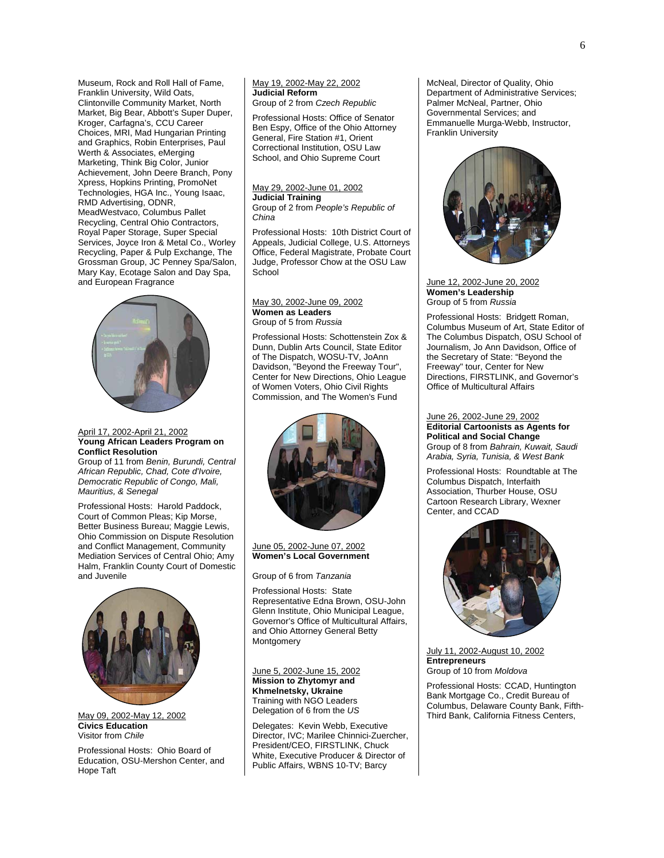Museum, Rock and Roll Hall of Fame, Franklin University, Wild Oats, Clintonville Community Market, North Market, Big Bear, Abbott's Super Duper, Kroger, Carfagna's, CCU Career Choices, MRI, Mad Hungarian Printing and Graphics, Robin Enterprises, Paul Werth & Associates, eMerging Marketing, Think Big Color, Junior Achievement, John Deere Branch, Pony Xpress, Hopkins Printing, PromoNet Technologies, HGA Inc., Young Isaac, RMD Advertising, ODNR, MeadWestvaco, Columbus Pallet Recycling, Central Ohio Contractors, Royal Paper Storage, Super Special Services, Joyce Iron & Metal Co., Worley Recycling, Paper & Pulp Exchange, The Grossman Group, JC Penney Spa/Salon, Mary Kay, Ecotage Salon and Day Spa, and European Fragrance



#### April 17, 2002-April 21, 2002 **Young African Leaders Program on Conflict Resolution**

Group of 11 from *Benin, Burundi, Central African Republic, Chad, Cote d'Ivoire, Democratic Republic of Congo, Mali, Mauritius, & Senegal*

Professional Hosts: Harold Paddock, Court of Common Pleas; Kip Morse, Better Business Bureau; Maggie Lewis, Ohio Commission on Dispute Resolution and Conflict Management, Community Mediation Services of Central Ohio; Amy Halm, Franklin County Court of Domestic and Juvenile



May 09, 2002-May 12, 2002 **Civics Education**  Visitor from *Chile* 

Professional Hosts: Ohio Board of Education, OSU-Mershon Center, and Hope Taft

#### May 19, 2002-May 22, 2002 **Judicial Reform** Group of 2 from *Czech Republic*

Professional Hosts: Office of Senator

Ben Espy, Office of the Ohio Attorney General, Fire Station #1, Orient Correctional Institution, OSU Law School, and Ohio Supreme Court

#### May 29, 2002-June 01, 2002 **Judicial Training**

Group of 2 from *People's Republic of China*

Professional Hosts: 10th District Court of Appeals, Judicial College, U.S. Attorneys Office, Federal Magistrate, Probate Court Judge, Professor Chow at the OSU Law **School** 

#### May 30, 2002-June 09, 2002 **Women as Leaders**  Group of 5 from *Russia*

Professional Hosts: Schottenstein Zox & Dunn, Dublin Arts Council, State Editor of The Dispatch, WOSU-TV, JoAnn Davidson, "Beyond the Freeway Tour", Center for New Directions, Ohio League of Women Voters, Ohio Civil Rights Commission, and The Women's Fund



June 05, 2002-June 07, 2002 **Women's Local Government** 

Group of 6 from *Tanzania*

Professional Hosts: State Representative Edna Brown, OSU-John Glenn Institute, Ohio Municipal League, Governor's Office of Multicultural Affairs, and Ohio Attorney General Betty **Montgomery** 

June 5, 2002-June 15, 2002 **Mission to Zhytomyr and Khmelnetsky, Ukraine**  Training with NGO Leaders Delegation of 6 from the *US*

Delegates: Kevin Webb, Executive Director, IVC; Marilee Chinnici-Zuercher, President/CEO, FIRSTLINK, Chuck White, Executive Producer & Director of Public Affairs, WBNS 10-TV; Barcy

McNeal, Director of Quality, Ohio Department of Administrative Services; Palmer McNeal, Partner, Ohio Governmental Services; and Emmanuelle Murga-Webb, Instructor, Franklin University



June 12, 2002-June 20, 2002 **Women's Leadership** Group of 5 from *Russia*

Professional Hosts: Bridgett Roman, Columbus Museum of Art, State Editor of The Columbus Dispatch, OSU School of Journalism, Jo Ann Davidson, Office of the Secretary of State: "Beyond the Freeway" tour, Center for New Directions, FIRSTLINK, and Governor's Office of Multicultural Affairs

June 26, 2002-June 29, 2002 **Editorial Cartoonists as Agents for Political and Social Change** Group of 8 from *Bahrain, Kuwait, Saudi Arabia, Syria, Tunisia, & West Bank*

Professional Hosts: Roundtable at The Columbus Dispatch, Interfaith Association, Thurber House, OSU Cartoon Research Library, Wexner Center, and CCAD



July 11, 2002-August 10, 2002 **Entrepreneurs**  Group of 10 from *Moldova*

Professional Hosts: CCAD, Huntington Bank Mortgage Co., Credit Bureau of Columbus, Delaware County Bank, Fifth-Third Bank, California Fitness Centers,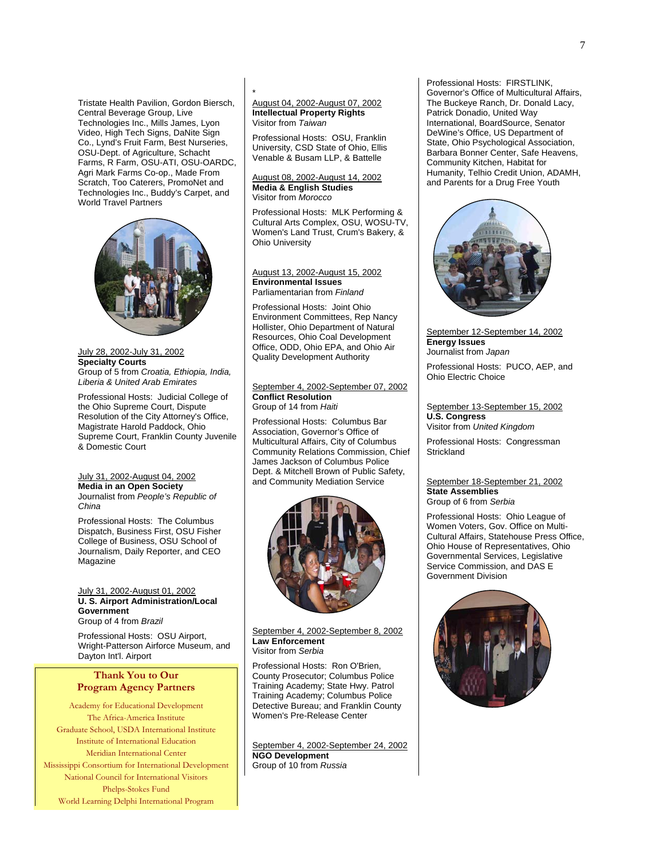Tristate Health Pavilion, Gordon Biersch, Central Beverage Group, Live Technologies Inc., Mills James, Lyon Video, High Tech Signs, DaNite Sign Co., Lynd's Fruit Farm, Best Nurseries, OSU-Dept. of Agriculture, Schacht Farms, R Farm, OSU-ATI, OSU-OARDC, Agri Mark Farms Co-op., Made From Scratch, Too Caterers, PromoNet and Technologies Inc., Buddy's Carpet, and World Travel Partners



July 28, 2002-July 31, 2002 **Specialty Courts**  Group of 5 from *Croatia, Ethiopia, India, Liberia & United Arab Emirates*

Professional Hosts: Judicial College of the Ohio Supreme Court, Dispute Resolution of the City Attorney's Office, Magistrate Harold Paddock, Ohio Supreme Court, Franklin County Juvenile & Domestic Court

#### July 31, 2002-August 04, 2002 **Media in an Open Society** Journalist from *People's Republic of China*

Professional Hosts: The Columbus Dispatch, Business First, OSU Fisher College of Business, OSU School of Journalism, Daily Reporter, and CEO Magazine

#### July 31, 2002-August 01, 2002 **U. S. Airport Administration/Local Government**  Group of 4 from *Brazil*

Professional Hosts: OSU Airport, Wright-Patterson Airforce Museum, and Dayton Int'l. Airport

#### **Thank You to Our Program Agency Partners**

Academy for Educational Development The Africa-America Institute Graduate School, USDA International Institute Institute of International Education Meridian International Center Mississippi Consortium for International Development National Council for International Visitors Phelps-Stokes Fund World Learning Delphi International Program

## August 04, 2002-August 07, 2002

\*

**Intellectual Property Rights** Visitor from *Taiwan*

 Professional Hosts: OSU, Franklin University, CSD State of Ohio, Ellis Venable & Busam LLP, & Battelle

August 08, 2002-August 14, 2002 **Media & English Studies** Visitor from *Morocco*

Professional Hosts: MLK Performing & Cultural Arts Complex, OSU, WOSU-TV, Women's Land Trust, Crum's Bakery, & Ohio University

#### August 13, 2002-August 15, 2002 **Environmental Issues** Parliamentarian from *Finland*

Professional Hosts: Joint Ohio Environment Committees, Rep Nancy Hollister, Ohio Department of Natural Resources, Ohio Coal Development Office, ODD, Ohio EPA, and Ohio Air Quality Development Authority

#### September 4, 2002-September 07, 2002 **Conflict Resolution** Group of 14 from *Haiti*

Professional Hosts: Columbus Bar Association, Governor's Office of Multicultural Affairs, City of Columbus Community Relations Commission, Chief James Jackson of Columbus Police Dept. & Mitchell Brown of Public Safety, and Community Mediation Service



September 4, 2002-September 8, 2002 **Law Enforcement**  Visitor from *Serbia*

Professional Hosts: Ron O'Brien, County Prosecutor; Columbus Police Training Academy; State Hwy. Patrol Training Academy; Columbus Police Detective Bureau; and Franklin County Women's Pre-Release Center

September 4, 2002-September 24, 2002 **NGO Development**  Group of 10 from *Russia*

Professional Hosts: FIRSTLINK, Governor's Office of Multicultural Affairs, The Buckeye Ranch, Dr. Donald Lacy, Patrick Donadio, United Way International, BoardSource, Senator DeWine's Office, US Department of State, Ohio Psychological Association, Barbara Bonner Center, Safe Heavens, Community Kitchen, Habitat for Humanity, Telhio Credit Union, ADAMH, and Parents for a Drug Free Youth



September 12-September 14, 2002 **Energy Issues** Journalist from *Japan* 

Professional Hosts: PUCO, AEP, and Ohio Electric Choice

#### September 13-September 15, 2002 **U.S. Congress** Visitor from *United Kingdom*

 Professional Hosts: Congressman **Strickland** 

#### September 18-September 21, 2002 **State Assemblies**

Group of 6 from *Serbia*

Professional Hosts: Ohio League of Women Voters, Gov. Office on Multi-Cultural Affairs, Statehouse Press Office, Ohio House of Representatives, Ohio Governmental Services, Legislative Service Commission, and DAS E Government Division